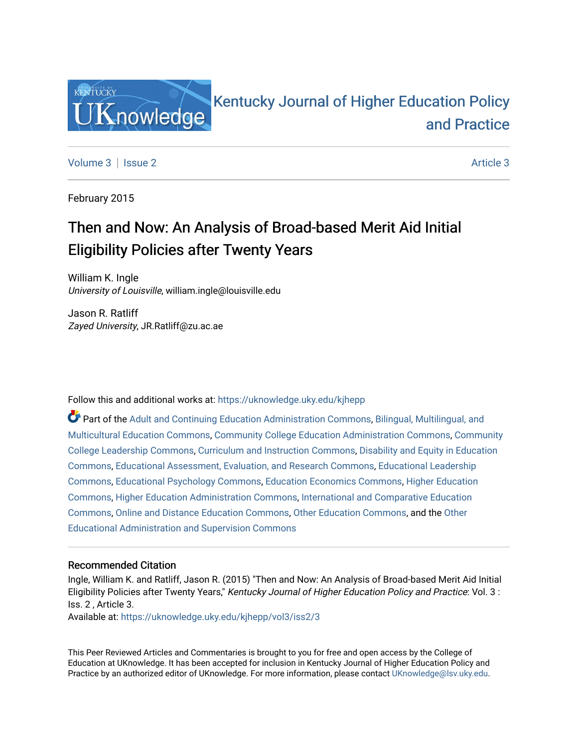

## [Kentucky Journal of Higher Education Policy](https://uknowledge.uky.edu/kjhepp)  [and Practice](https://uknowledge.uky.edu/kjhepp)

[Volume 3](https://uknowledge.uky.edu/kjhepp/vol3) | [Issue 2](https://uknowledge.uky.edu/kjhepp/vol3/iss2) [Article 3](https://uknowledge.uky.edu/kjhepp/vol3/iss2/3) Article 3 Article 3 Article 3 Article 3 Article 3 Article 3 Article 3 Article 3 Article 3 Article 3 Article 3 Article 3 Article 3 Article 3 Article 3 Article 3 Article 3 Article 3 Article 3 Art

February 2015

# Then and Now: An Analysis of Broad-based Merit Aid Initial Eligibility Policies after Twenty Years

William K. Ingle University of Louisville, william.ingle@louisville.edu

Jason R. Ratliff Zayed University, JR.Ratliff@zu.ac.ae

Follow this and additional works at: [https://uknowledge.uky.edu/kjhepp](https://uknowledge.uky.edu/kjhepp?utm_source=uknowledge.uky.edu%2Fkjhepp%2Fvol3%2Fiss2%2F3&utm_medium=PDF&utm_campaign=PDFCoverPages) 

Part of the [Adult and Continuing Education Administration Commons](http://network.bepress.com/hgg/discipline/789?utm_source=uknowledge.uky.edu%2Fkjhepp%2Fvol3%2Fiss2%2F3&utm_medium=PDF&utm_campaign=PDFCoverPages), [Bilingual, Multilingual, and](http://network.bepress.com/hgg/discipline/785?utm_source=uknowledge.uky.edu%2Fkjhepp%2Fvol3%2Fiss2%2F3&utm_medium=PDF&utm_campaign=PDFCoverPages)  [Multicultural Education Commons,](http://network.bepress.com/hgg/discipline/785?utm_source=uknowledge.uky.edu%2Fkjhepp%2Fvol3%2Fiss2%2F3&utm_medium=PDF&utm_campaign=PDFCoverPages) [Community College Education Administration Commons](http://network.bepress.com/hgg/discipline/792?utm_source=uknowledge.uky.edu%2Fkjhepp%2Fvol3%2Fiss2%2F3&utm_medium=PDF&utm_campaign=PDFCoverPages), [Community](http://network.bepress.com/hgg/discipline/1039?utm_source=uknowledge.uky.edu%2Fkjhepp%2Fvol3%2Fiss2%2F3&utm_medium=PDF&utm_campaign=PDFCoverPages)  [College Leadership Commons](http://network.bepress.com/hgg/discipline/1039?utm_source=uknowledge.uky.edu%2Fkjhepp%2Fvol3%2Fiss2%2F3&utm_medium=PDF&utm_campaign=PDFCoverPages), [Curriculum and Instruction Commons](http://network.bepress.com/hgg/discipline/786?utm_source=uknowledge.uky.edu%2Fkjhepp%2Fvol3%2Fiss2%2F3&utm_medium=PDF&utm_campaign=PDFCoverPages), [Disability and Equity in Education](http://network.bepress.com/hgg/discipline/1040?utm_source=uknowledge.uky.edu%2Fkjhepp%2Fvol3%2Fiss2%2F3&utm_medium=PDF&utm_campaign=PDFCoverPages) [Commons](http://network.bepress.com/hgg/discipline/1040?utm_source=uknowledge.uky.edu%2Fkjhepp%2Fvol3%2Fiss2%2F3&utm_medium=PDF&utm_campaign=PDFCoverPages), [Educational Assessment, Evaluation, and Research Commons,](http://network.bepress.com/hgg/discipline/796?utm_source=uknowledge.uky.edu%2Fkjhepp%2Fvol3%2Fiss2%2F3&utm_medium=PDF&utm_campaign=PDFCoverPages) [Educational Leadership](http://network.bepress.com/hgg/discipline/1230?utm_source=uknowledge.uky.edu%2Fkjhepp%2Fvol3%2Fiss2%2F3&utm_medium=PDF&utm_campaign=PDFCoverPages)  [Commons](http://network.bepress.com/hgg/discipline/1230?utm_source=uknowledge.uky.edu%2Fkjhepp%2Fvol3%2Fiss2%2F3&utm_medium=PDF&utm_campaign=PDFCoverPages), [Educational Psychology Commons,](http://network.bepress.com/hgg/discipline/798?utm_source=uknowledge.uky.edu%2Fkjhepp%2Fvol3%2Fiss2%2F3&utm_medium=PDF&utm_campaign=PDFCoverPages) [Education Economics Commons](http://network.bepress.com/hgg/discipline/1262?utm_source=uknowledge.uky.edu%2Fkjhepp%2Fvol3%2Fiss2%2F3&utm_medium=PDF&utm_campaign=PDFCoverPages), [Higher Education](http://network.bepress.com/hgg/discipline/1245?utm_source=uknowledge.uky.edu%2Fkjhepp%2Fvol3%2Fiss2%2F3&utm_medium=PDF&utm_campaign=PDFCoverPages)  [Commons](http://network.bepress.com/hgg/discipline/1245?utm_source=uknowledge.uky.edu%2Fkjhepp%2Fvol3%2Fiss2%2F3&utm_medium=PDF&utm_campaign=PDFCoverPages), [Higher Education Administration Commons](http://network.bepress.com/hgg/discipline/791?utm_source=uknowledge.uky.edu%2Fkjhepp%2Fvol3%2Fiss2%2F3&utm_medium=PDF&utm_campaign=PDFCoverPages), [International and Comparative Education](http://network.bepress.com/hgg/discipline/797?utm_source=uknowledge.uky.edu%2Fkjhepp%2Fvol3%2Fiss2%2F3&utm_medium=PDF&utm_campaign=PDFCoverPages) [Commons](http://network.bepress.com/hgg/discipline/797?utm_source=uknowledge.uky.edu%2Fkjhepp%2Fvol3%2Fiss2%2F3&utm_medium=PDF&utm_campaign=PDFCoverPages), [Online and Distance Education Commons](http://network.bepress.com/hgg/discipline/1296?utm_source=uknowledge.uky.edu%2Fkjhepp%2Fvol3%2Fiss2%2F3&utm_medium=PDF&utm_campaign=PDFCoverPages), [Other Education Commons,](http://network.bepress.com/hgg/discipline/811?utm_source=uknowledge.uky.edu%2Fkjhepp%2Fvol3%2Fiss2%2F3&utm_medium=PDF&utm_campaign=PDFCoverPages) and the [Other](http://network.bepress.com/hgg/discipline/794?utm_source=uknowledge.uky.edu%2Fkjhepp%2Fvol3%2Fiss2%2F3&utm_medium=PDF&utm_campaign=PDFCoverPages)  [Educational Administration and Supervision Commons](http://network.bepress.com/hgg/discipline/794?utm_source=uknowledge.uky.edu%2Fkjhepp%2Fvol3%2Fiss2%2F3&utm_medium=PDF&utm_campaign=PDFCoverPages) 

### Recommended Citation

Ingle, William K. and Ratliff, Jason R. (2015) "Then and Now: An Analysis of Broad-based Merit Aid Initial Eligibility Policies after Twenty Years," Kentucky Journal of Higher Education Policy and Practice: Vol. 3 : Iss. 2 , Article 3.

Available at: [https://uknowledge.uky.edu/kjhepp/vol3/iss2/3](https://uknowledge.uky.edu/kjhepp/vol3/iss2/3?utm_source=uknowledge.uky.edu%2Fkjhepp%2Fvol3%2Fiss2%2F3&utm_medium=PDF&utm_campaign=PDFCoverPages)

This Peer Reviewed Articles and Commentaries is brought to you for free and open access by the College of Education at UKnowledge. It has been accepted for inclusion in Kentucky Journal of Higher Education Policy and Practice by an authorized editor of UKnowledge. For more information, please contact [UKnowledge@lsv.uky.edu](mailto:UKnowledge@lsv.uky.edu).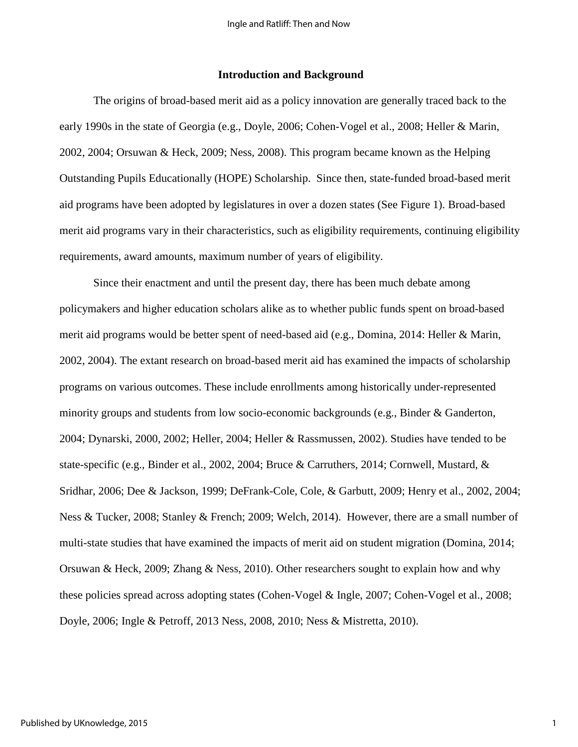#### **Introduction and Background**

The origins of broad-based merit aid as a policy innovation are generally traced back to the early 1990s in the state of Georgia (e.g., Doyle, 2006; Cohen-Vogel et al., 2008; Heller & Marin, 2002, 2004; Orsuwan & Heck, 2009; Ness, 2008). This program became known as the Helping Outstanding Pupils Educationally (HOPE) Scholarship. Since then, state-funded broad-based merit aid programs have been adopted by legislatures in over a dozen states (See Figure 1). Broad-based merit aid programs vary in their characteristics, such as eligibility requirements, continuing eligibility requirements, award amounts, maximum number of years of eligibility.

Since their enactment and until the present day, there has been much debate among policymakers and higher education scholars alike as to whether public funds spent on broad-based merit aid programs would be better spent of need-based aid (e.g., Domina, 2014: Heller & Marin, 2002, 2004). The extant research on broad-based merit aid has examined the impacts of scholarship programs on various outcomes. These include enrollments among historically under-represented minority groups and students from low socio-economic backgrounds (e.g., Binder & Ganderton, 2004; Dynarski, 2000, 2002; Heller, 2004; Heller & Rassmussen, 2002). Studies have tended to be state-specific (e.g., Binder et al., 2002, 2004; Bruce & Carruthers, 2014; Cornwell, Mustard, & Sridhar, 2006; Dee & Jackson, 1999; DeFrank-Cole, Cole, & Garbutt, 2009; Henry et al., 2002, 2004; Ness & Tucker, 2008; Stanley & French; 2009; Welch, 2014). However, there are a small number of multi-state studies that have examined the impacts of merit aid on student migration (Domina, 2014; Orsuwan & Heck, 2009; Zhang & Ness, 2010). Other researchers sought to explain how and why these policies spread across adopting states (Cohen-Vogel & Ingle, 2007; Cohen-Vogel et al., 2008; Doyle, 2006; Ingle & Petroff, 2013 Ness, 2008, 2010; Ness & Mistretta, 2010).

1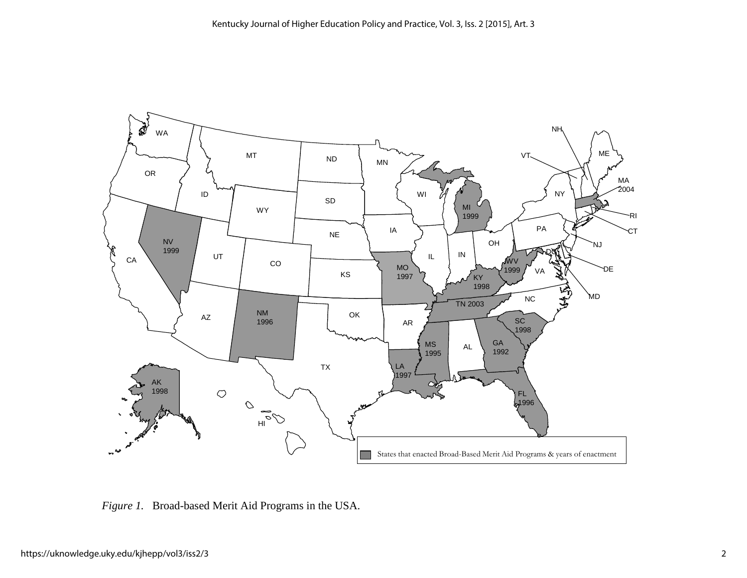

*Figure 1.* Broad-based Merit Aid Programs in the USA.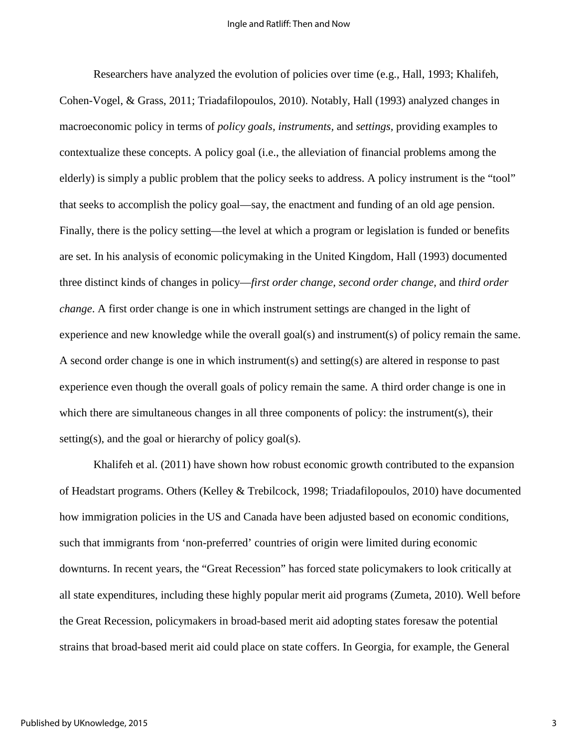Researchers have analyzed the evolution of policies over time (e.g., Hall, 1993; Khalifeh, Cohen-Vogel, & Grass, 2011; Triadafilopoulos, 2010). Notably, Hall (1993) analyzed changes in macroeconomic policy in terms of *policy goals, instruments,* and *settings,* providing examples to contextualize these concepts. A policy goal (i.e., the alleviation of financial problems among the elderly) is simply a public problem that the policy seeks to address. A policy instrument is the "tool" that seeks to accomplish the policy goal—say, the enactment and funding of an old age pension. Finally, there is the policy setting—the level at which a program or legislation is funded or benefits are set. In his analysis of economic policymaking in the United Kingdom, Hall (1993) documented three distinct kinds of changes in policy—*first order change, second order change,* and *third order change*. A first order change is one in which instrument settings are changed in the light of experience and new knowledge while the overall goal(s) and instrument(s) of policy remain the same. A second order change is one in which instrument(s) and setting(s) are altered in response to past experience even though the overall goals of policy remain the same. A third order change is one in which there are simultaneous changes in all three components of policy: the instrument(s), their setting(s), and the goal or hierarchy of policy goal(s).

Khalifeh et al. (2011) have shown how robust economic growth contributed to the expansion of Headstart programs. Others (Kelley & Trebilcock, 1998; Triadafilopoulos, 2010) have documented how immigration policies in the US and Canada have been adjusted based on economic conditions, such that immigrants from 'non-preferred' countries of origin were limited during economic downturns. In recent years, the "Great Recession" has forced state policymakers to look critically at all state expenditures, including these highly popular merit aid programs (Zumeta, 2010). Well before the Great Recession, policymakers in broad-based merit aid adopting states foresaw the potential strains that broad-based merit aid could place on state coffers. In Georgia, for example, the General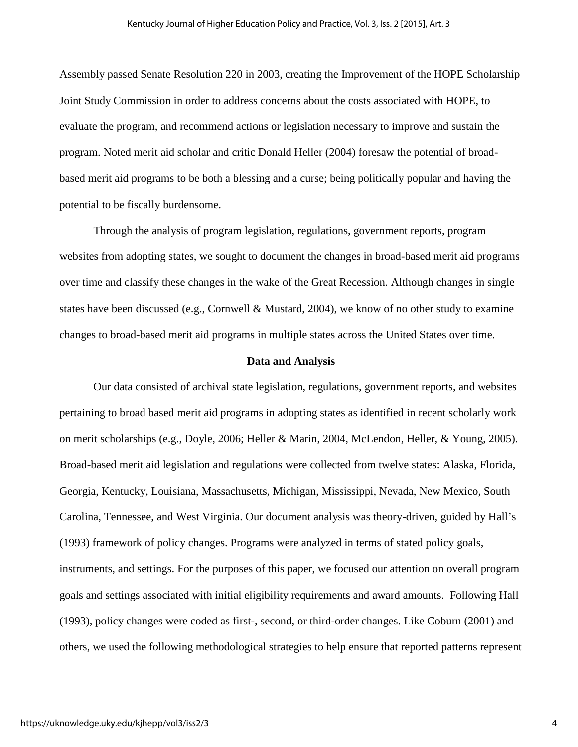Assembly passed Senate Resolution 220 in 2003, creating the Improvement of the HOPE Scholarship Joint Study Commission in order to address concerns about the costs associated with HOPE, to evaluate the program, and recommend actions or legislation necessary to improve and sustain the program. Noted merit aid scholar and critic Donald Heller (2004) foresaw the potential of broadbased merit aid programs to be both a blessing and a curse; being politically popular and having the potential to be fiscally burdensome.

Through the analysis of program legislation, regulations, government reports, program websites from adopting states, we sought to document the changes in broad-based merit aid programs over time and classify these changes in the wake of the Great Recession. Although changes in single states have been discussed (e.g., Cornwell & Mustard, 2004), we know of no other study to examine changes to broad-based merit aid programs in multiple states across the United States over time.

#### **Data and Analysis**

 Our data consisted of archival state legislation, regulations, government reports, and websites pertaining to broad based merit aid programs in adopting states as identified in recent scholarly work on merit scholarships (e.g., Doyle, 2006; Heller & Marin, 2004, McLendon, Heller, & Young, 2005). Broad-based merit aid legislation and regulations were collected from twelve states: Alaska, Florida, Georgia, Kentucky, Louisiana, Massachusetts, Michigan, Mississippi, Nevada, New Mexico, South Carolina, Tennessee, and West Virginia. Our document analysis was theory-driven, guided by Hall's (1993) framework of policy changes. Programs were analyzed in terms of stated policy goals, instruments, and settings. For the purposes of this paper, we focused our attention on overall program goals and settings associated with initial eligibility requirements and award amounts. Following Hall (1993), policy changes were coded as first-, second, or third-order changes. Like Coburn (2001) and others, we used the following methodological strategies to help ensure that reported patterns represent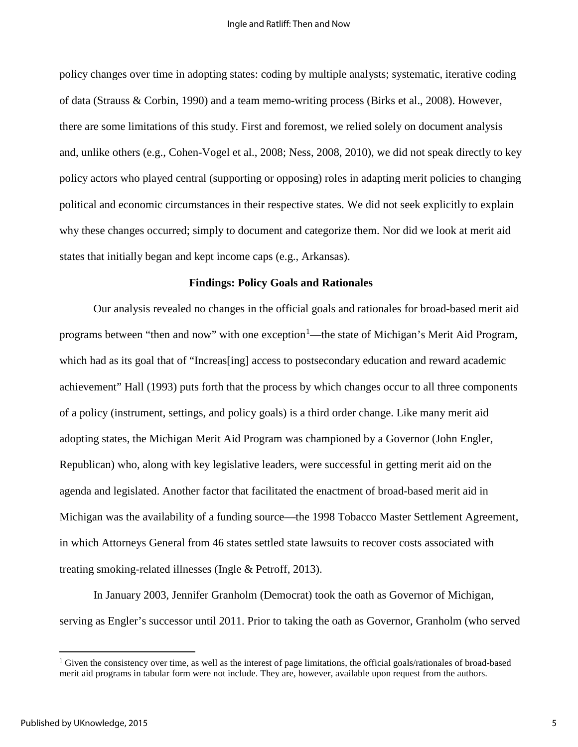policy changes over time in adopting states: coding by multiple analysts; systematic, iterative coding of data (Strauss & Corbin, 1990) and a team memo-writing process (Birks et al., 2008). However, there are some limitations of this study. First and foremost, we relied solely on document analysis and, unlike others (e.g., Cohen-Vogel et al., 2008; Ness, 2008, 2010), we did not speak directly to key policy actors who played central (supporting or opposing) roles in adapting merit policies to changing political and economic circumstances in their respective states. We did not seek explicitly to explain why these changes occurred; simply to document and categorize them. Nor did we look at merit aid states that initially began and kept income caps (e.g., Arkansas).

#### **Findings: Policy Goals and Rationales**

Our analysis revealed no changes in the official goals and rationales for broad-based merit aid programs between "then and now" with one exception<sup>[1](#page-5-0)</sup>—the state of Michigan's Merit Aid Program, which had as its goal that of "Increas [ing] access to postsecondary education and reward academic achievement" Hall (1993) puts forth that the process by which changes occur to all three components of a policy (instrument, settings, and policy goals) is a third order change. Like many merit aid adopting states, the Michigan Merit Aid Program was championed by a Governor (John Engler, Republican) who, along with key legislative leaders, were successful in getting merit aid on the agenda and legislated. Another factor that facilitated the enactment of broad-based merit aid in Michigan was the availability of a funding source—the 1998 Tobacco Master Settlement Agreement, in which Attorneys General from 46 states settled state lawsuits to recover costs associated with treating smoking-related illnesses (Ingle & Petroff, 2013).

In January 2003, Jennifer Granholm (Democrat) took the oath as Governor of Michigan, serving as Engler's successor until 2011. Prior to taking the oath as Governor, Granholm (who served

<span id="page-5-0"></span><sup>&</sup>lt;sup>1</sup> Given the consistency over time, as well as the interest of page limitations, the official goals/rationales of broad-based merit aid programs in tabular form were not include. They are, however, available upon request from the authors.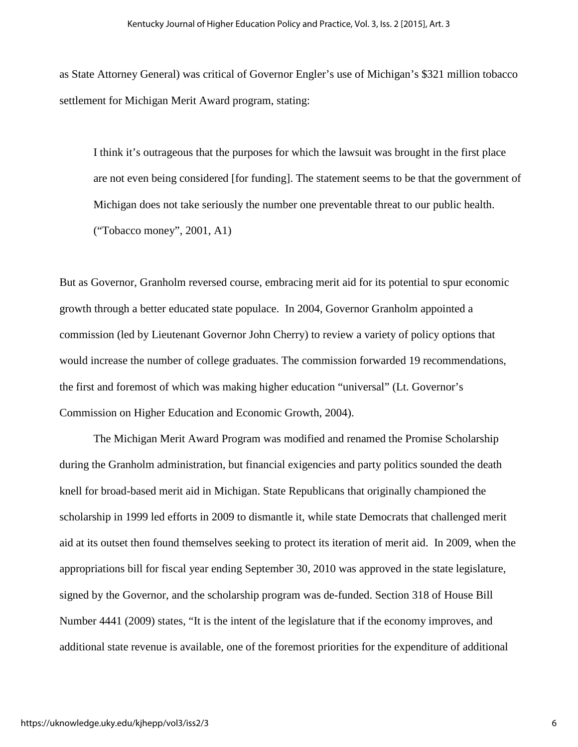as State Attorney General) was critical of Governor Engler's use of Michigan's \$321 million tobacco settlement for Michigan Merit Award program, stating:

I think it's outrageous that the purposes for which the lawsuit was brought in the first place are not even being considered [for funding]. The statement seems to be that the government of Michigan does not take seriously the number one preventable threat to our public health. ("Tobacco money", 2001, A1)

But as Governor, Granholm reversed course, embracing merit aid for its potential to spur economic growth through a better educated state populace. In 2004, Governor Granholm appointed a commission (led by Lieutenant Governor John Cherry) to review a variety of policy options that would increase the number of college graduates. The commission forwarded 19 recommendations, the first and foremost of which was making higher education "universal" (Lt. Governor's Commission on Higher Education and Economic Growth, 2004).

The Michigan Merit Award Program was modified and renamed the Promise Scholarship during the Granholm administration, but financial exigencies and party politics sounded the death knell for broad-based merit aid in Michigan. State Republicans that originally championed the scholarship in 1999 led efforts in 2009 to dismantle it, while state Democrats that challenged merit aid at its outset then found themselves seeking to protect its iteration of merit aid. In 2009, when the appropriations bill for fiscal year ending September 30, 2010 was approved in the state legislature, signed by the Governor, and the scholarship program was de-funded. Section 318 of House Bill Number 4441 (2009) states, "It is the intent of the legislature that if the economy improves, and additional state revenue is available, one of the foremost priorities for the expenditure of additional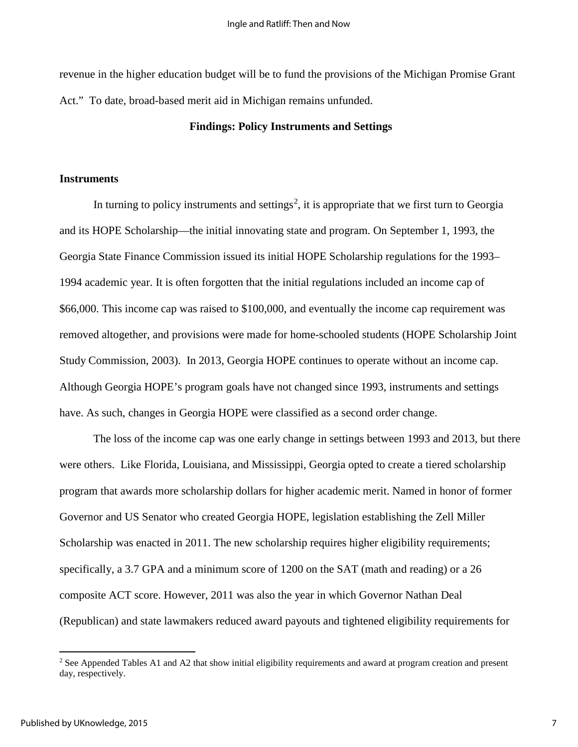revenue in the higher education budget will be to fund the provisions of the Michigan Promise Grant Act." To date, broad-based merit aid in Michigan remains unfunded.

#### **Findings: Policy Instruments and Settings**

#### **Instruments**

In turning to policy instruments and settings<sup>[2](#page-7-0)</sup>, it is appropriate that we first turn to Georgia and its HOPE Scholarship—the initial innovating state and program. On September 1, 1993, the Georgia State Finance Commission issued its initial HOPE Scholarship regulations for the 1993– 1994 academic year. It is often forgotten that the initial regulations included an income cap of \$66,000. This income cap was raised to \$100,000, and eventually the income cap requirement was removed altogether, and provisions were made for home-schooled students (HOPE Scholarship Joint Study Commission, 2003). In 2013, Georgia HOPE continues to operate without an income cap. Although Georgia HOPE's program goals have not changed since 1993, instruments and settings have. As such, changes in Georgia HOPE were classified as a second order change.

The loss of the income cap was one early change in settings between 1993 and 2013, but there were others. Like Florida, Louisiana, and Mississippi, Georgia opted to create a tiered scholarship program that awards more scholarship dollars for higher academic merit. Named in honor of former Governor and US Senator who created Georgia HOPE, legislation establishing the Zell Miller Scholarship was enacted in 2011. The new scholarship requires higher eligibility requirements; specifically, a 3.7 GPA and a minimum score of 1200 on the SAT (math and reading) or a 26 composite ACT score. However, 2011 was also the year in which Governor Nathan Deal (Republican) and state lawmakers reduced award payouts and tightened eligibility requirements for

<span id="page-7-0"></span><sup>&</sup>lt;sup>2</sup> See Appended Tables A1 and A2 that show initial eligibility requirements and award at program creation and present day, respectively.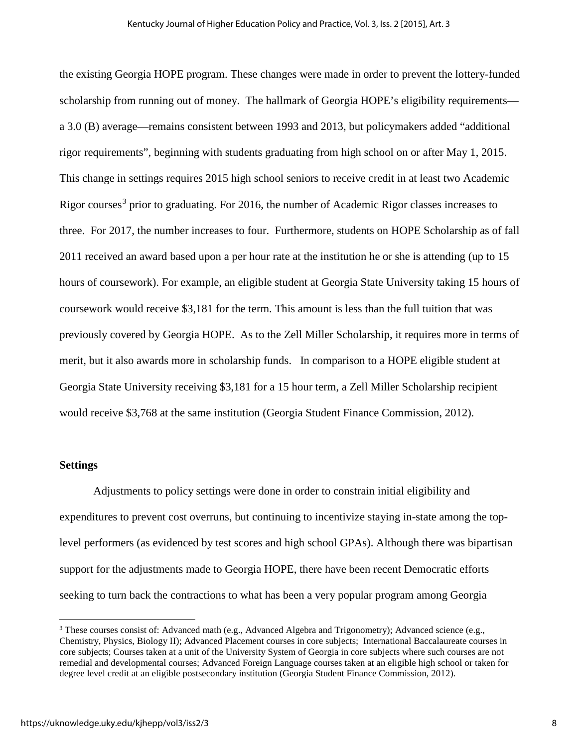the existing Georgia HOPE program. These changes were made in order to prevent the lottery-funded scholarship from running out of money. The hallmark of Georgia HOPE's eligibility requirements a 3.0 (B) average—remains consistent between 1993 and 2013, but policymakers added "additional rigor requirements", beginning with students graduating from high school on or after May 1, 2015. This change in settings requires 2015 high school seniors to receive credit in at least two Academic Rigor courses<sup>[3](#page-8-0)</sup> prior to graduating. For 2016, the number of Academic Rigor classes increases to three. For 2017, the number increases to four. Furthermore, students on HOPE Scholarship as of fall 2011 received an award based upon a per hour rate at the institution he or she is attending (up to 15 hours of coursework). For example, an eligible student at Georgia State University taking 15 hours of coursework would receive \$3,181 for the term. This amount is less than the full tuition that was previously covered by Georgia HOPE. As to the Zell Miller Scholarship, it requires more in terms of merit, but it also awards more in scholarship funds. In comparison to a HOPE eligible student at Georgia State University receiving \$3,181 for a 15 hour term, a Zell Miller Scholarship recipient would receive \$3,768 at the same institution (Georgia Student Finance Commission, 2012).

#### **Settings**

 $\overline{a}$ 

Adjustments to policy settings were done in order to constrain initial eligibility and expenditures to prevent cost overruns, but continuing to incentivize staying in-state among the toplevel performers (as evidenced by test scores and high school GPAs). Although there was bipartisan support for the adjustments made to Georgia HOPE, there have been recent Democratic efforts seeking to turn back the contractions to what has been a very popular program among Georgia

<span id="page-8-0"></span><sup>3</sup> These courses consist of: Advanced math (e.g., Advanced Algebra and Trigonometry); Advanced science (e.g., Chemistry, Physics, Biology II); Advanced Placement courses in core subjects; International Baccalaureate courses in core subjects; Courses taken at a unit of the University System of Georgia in core subjects where such courses are not remedial and developmental courses; Advanced Foreign Language courses taken at an eligible high school or taken for degree level credit at an eligible postsecondary institution (Georgia Student Finance Commission, 2012).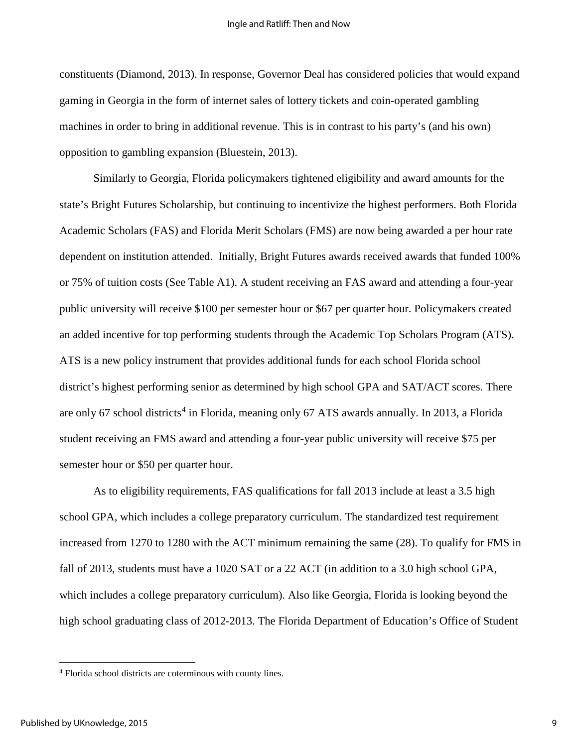constituents (Diamond, 2013). In response, Governor Deal has considered policies that would expand gaming in Georgia in the form of internet sales of lottery tickets and coin-operated gambling machines in order to bring in additional revenue. This is in contrast to his party's (and his own) opposition to gambling expansion (Bluestein, 2013).

Similarly to Georgia, Florida policymakers tightened eligibility and award amounts for the state's Bright Futures Scholarship, but continuing to incentivize the highest performers. Both Florida Academic Scholars (FAS) and Florida Merit Scholars (FMS) are now being awarded a per hour rate dependent on institution attended. Initially, Bright Futures awards received awards that funded 100% or 75% of tuition costs (See Table A1). A student receiving an FAS award and attending a four-year public university will receive \$100 per semester hour or \$67 per quarter hour. Policymakers created an added incentive for top performing students through the Academic Top Scholars Program (ATS). ATS is a new policy instrument that provides additional funds for each school Florida school district's highest performing senior as determined by high school GPA and SAT/ACT scores. There are only 67 school districts<sup>[4](#page-9-0)</sup> in Florida, meaning only 67 ATS awards annually. In 2013, a Florida student receiving an FMS award and attending a four-year public university will receive \$75 per semester hour or \$50 per quarter hour.

As to eligibility requirements, FAS qualifications for fall 2013 include at least a 3.5 high school GPA, which includes a college preparatory curriculum. The standardized test requirement increased from 1270 to 1280 with the ACT minimum remaining the same (28). To qualify for FMS in fall of 2013, students must have a 1020 SAT or a 22 ACT (in addition to a 3.0 high school GPA, which includes a college preparatory curriculum). Also like Georgia, Florida is looking beyond the high school graduating class of 2012-2013. The Florida Department of Education's Office of Student

<span id="page-9-0"></span><sup>4</sup> Florida school districts are coterminous with county lines.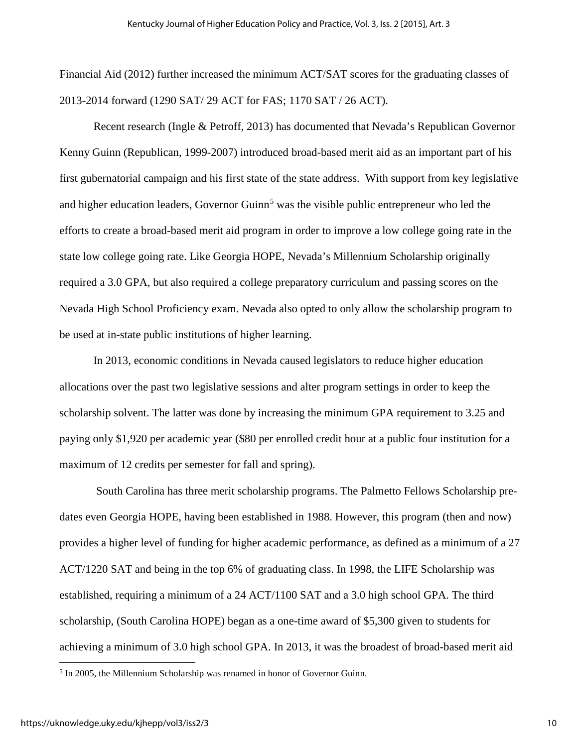Financial Aid (2012) further increased the minimum ACT/SAT scores for the graduating classes of 2013-2014 forward (1290 SAT/ 29 ACT for FAS; 1170 SAT / 26 ACT).

Recent research (Ingle & Petroff, 2013) has documented that Nevada's Republican Governor Kenny Guinn (Republican, 1999-2007) introduced broad-based merit aid as an important part of his first gubernatorial campaign and his first state of the state address. With support from key legislative and higher education leaders, Governor Guinn<sup>[5](#page-10-0)</sup> was the visible public entrepreneur who led the efforts to create a broad-based merit aid program in order to improve a low college going rate in the state low college going rate. Like Georgia HOPE, Nevada's Millennium Scholarship originally required a 3.0 GPA, but also required a college preparatory curriculum and passing scores on the Nevada High School Proficiency exam. Nevada also opted to only allow the scholarship program to be used at in-state public institutions of higher learning.

In 2013, economic conditions in Nevada caused legislators to reduce higher education allocations over the past two legislative sessions and alter program settings in order to keep the scholarship solvent. The latter was done by increasing the minimum GPA requirement to 3.25 and paying only \$1,920 per academic year (\$80 per enrolled credit hour at a public four institution for a maximum of 12 credits per semester for fall and spring).

 South Carolina has three merit scholarship programs. The Palmetto Fellows Scholarship predates even Georgia HOPE, having been established in 1988. However, this program (then and now) provides a higher level of funding for higher academic performance, as defined as a minimum of a 27 ACT/1220 SAT and being in the top 6% of graduating class. In 1998, the LIFE Scholarship was established, requiring a minimum of a 24 ACT/1100 SAT and a 3.0 high school GPA. The third scholarship, (South Carolina HOPE) began as a one-time award of \$5,300 given to students for achieving a minimum of 3.0 high school GPA. In 2013, it was the broadest of broad-based merit aid

<span id="page-10-0"></span><sup>5</sup> In 2005, the Millennium Scholarship was renamed in honor of Governor Guinn.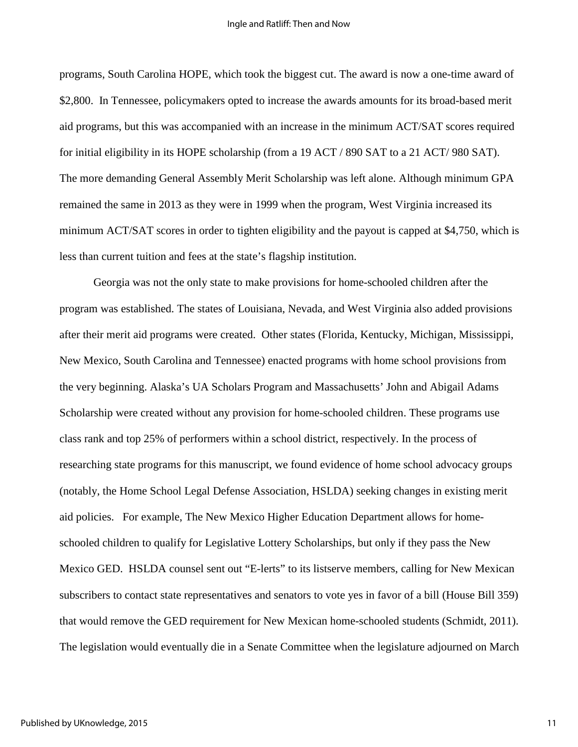programs, South Carolina HOPE, which took the biggest cut. The award is now a one-time award of \$2,800. In Tennessee, policymakers opted to increase the awards amounts for its broad-based merit aid programs, but this was accompanied with an increase in the minimum ACT/SAT scores required for initial eligibility in its HOPE scholarship (from a 19 ACT / 890 SAT to a 21 ACT/ 980 SAT). The more demanding General Assembly Merit Scholarship was left alone. Although minimum GPA remained the same in 2013 as they were in 1999 when the program, West Virginia increased its minimum ACT/SAT scores in order to tighten eligibility and the payout is capped at \$4,750, which is less than current tuition and fees at the state's flagship institution.

Georgia was not the only state to make provisions for home-schooled children after the program was established. The states of Louisiana, Nevada, and West Virginia also added provisions after their merit aid programs were created. Other states (Florida, Kentucky, Michigan, Mississippi, New Mexico, South Carolina and Tennessee) enacted programs with home school provisions from the very beginning. Alaska's UA Scholars Program and Massachusetts' John and Abigail Adams Scholarship were created without any provision for home-schooled children. These programs use class rank and top 25% of performers within a school district, respectively. In the process of researching state programs for this manuscript, we found evidence of home school advocacy groups (notably, the Home School Legal Defense Association, HSLDA) seeking changes in existing merit aid policies. For example, The New Mexico Higher Education Department allows for homeschooled children to qualify for Legislative Lottery Scholarships, but only if they pass the New Mexico GED. HSLDA counsel sent out "E-lerts" to its listserve members, calling for New Mexican subscribers to contact state representatives and senators to vote yes in favor of a bill (House Bill 359) that would remove the GED requirement for New Mexican home-schooled students (Schmidt, 2011). The legislation would eventually die in a Senate Committee when the legislature adjourned on March

11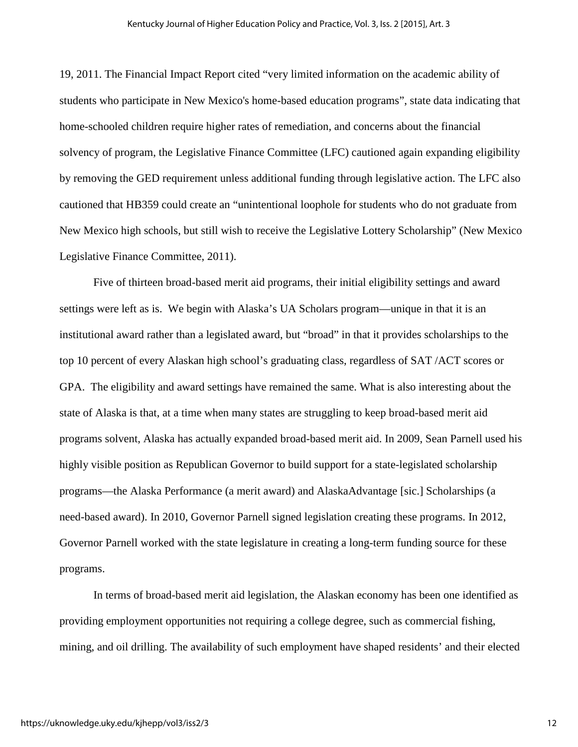19, 2011. The Financial Impact Report cited "very limited information on the academic ability of students who participate in New Mexico's home-based education programs", state data indicating that home-schooled children require higher rates of remediation, and concerns about the financial solvency of program, the Legislative Finance Committee (LFC) cautioned again expanding eligibility by removing the GED requirement unless additional funding through legislative action. The LFC also cautioned that HB359 could create an "unintentional loophole for students who do not graduate from New Mexico high schools, but still wish to receive the Legislative Lottery Scholarship" (New Mexico Legislative Finance Committee, 2011).

Five of thirteen broad-based merit aid programs, their initial eligibility settings and award settings were left as is. We begin with Alaska's UA Scholars program—unique in that it is an institutional award rather than a legislated award, but "broad" in that it provides scholarships to the top 10 percent of every Alaskan high school's graduating class, regardless of SAT /ACT scores or GPA. The eligibility and award settings have remained the same. What is also interesting about the state of Alaska is that, at a time when many states are struggling to keep broad-based merit aid programs solvent, Alaska has actually expanded broad-based merit aid. In 2009, Sean Parnell used his highly visible position as Republican Governor to build support for a state-legislated scholarship programs—the Alaska Performance (a merit award) and AlaskaAdvantage [sic.] Scholarships (a need-based award). In 2010, Governor Parnell signed legislation creating these programs. In 2012, Governor Parnell worked with the state legislature in creating a long-term funding source for these programs.

In terms of broad-based merit aid legislation, the Alaskan economy has been one identified as providing employment opportunities not requiring a college degree, such as commercial fishing, mining, and oil drilling. The availability of such employment have shaped residents' and their elected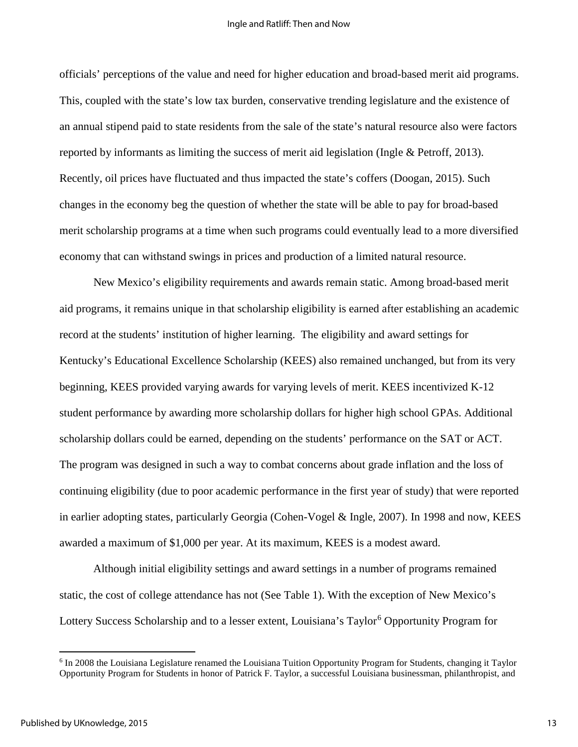officials' perceptions of the value and need for higher education and broad-based merit aid programs. This, coupled with the state's low tax burden, conservative trending legislature and the existence of an annual stipend paid to state residents from the sale of the state's natural resource also were factors reported by informants as limiting the success of merit aid legislation (Ingle & Petroff, 2013). Recently, oil prices have fluctuated and thus impacted the state's coffers (Doogan, 2015). Such changes in the economy beg the question of whether the state will be able to pay for broad-based merit scholarship programs at a time when such programs could eventually lead to a more diversified economy that can withstand swings in prices and production of a limited natural resource.

New Mexico's eligibility requirements and awards remain static. Among broad-based merit aid programs, it remains unique in that scholarship eligibility is earned after establishing an academic record at the students' institution of higher learning. The eligibility and award settings for Kentucky's Educational Excellence Scholarship (KEES) also remained unchanged, but from its very beginning, KEES provided varying awards for varying levels of merit. KEES incentivized K-12 student performance by awarding more scholarship dollars for higher high school GPAs. Additional scholarship dollars could be earned, depending on the students' performance on the SAT or ACT. The program was designed in such a way to combat concerns about grade inflation and the loss of continuing eligibility (due to poor academic performance in the first year of study) that were reported in earlier adopting states, particularly Georgia (Cohen-Vogel & Ingle, 2007). In 1998 and now, KEES awarded a maximum of \$1,000 per year. At its maximum, KEES is a modest award.

Although initial eligibility settings and award settings in a number of programs remained static, the cost of college attendance has not (See Table 1). With the exception of New Mexico's Lottery Success Scholarship and to a lesser extent, Louisiana's Taylor<sup>[6](#page-14-0)</sup> Opportunity Program for

<sup>6</sup> In 2008 the Louisiana Legislature renamed the Louisiana Tuition Opportunity Program for Students, changing it Taylor Opportunity Program for Students in honor of Patrick F. Taylor, a successful Louisiana businessman, philanthropist, and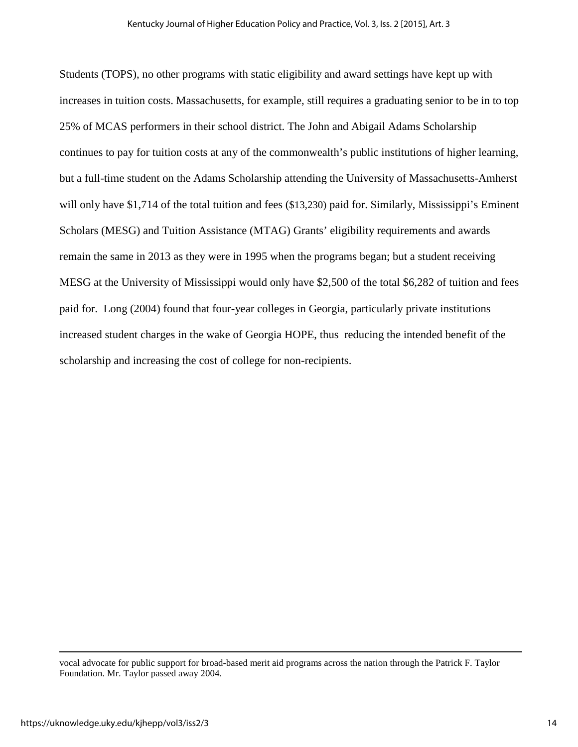Students (TOPS), no other programs with static eligibility and award settings have kept up with increases in tuition costs. Massachusetts, for example, still requires a graduating senior to be in to top 25% of MCAS performers in their school district. The John and Abigail Adams Scholarship continues to pay for tuition costs at any of the commonwealth's public institutions of higher learning, but a full-time student on the Adams Scholarship attending the University of Massachusetts-Amherst will only have \$1,714 of the total tuition and fees (\$13,230) paid for. Similarly, Mississippi's Eminent Scholars (MESG) and Tuition Assistance (MTAG) Grants' eligibility requirements and awards remain the same in 2013 as they were in 1995 when the programs began; but a student receiving MESG at the University of Mississippi would only have \$2,500 of the total \$6,282 of tuition and fees paid for. Long (2004) found that four-year colleges in Georgia, particularly private institutions increased student charges in the wake of Georgia HOPE, thus reducing the intended benefit of the scholarship and increasing the cost of college for non-recipients.

<span id="page-14-0"></span>vocal advocate for public support for broad-based merit aid programs across the nation through the Patrick F. Taylor Foundation. Mr. Taylor passed away 2004.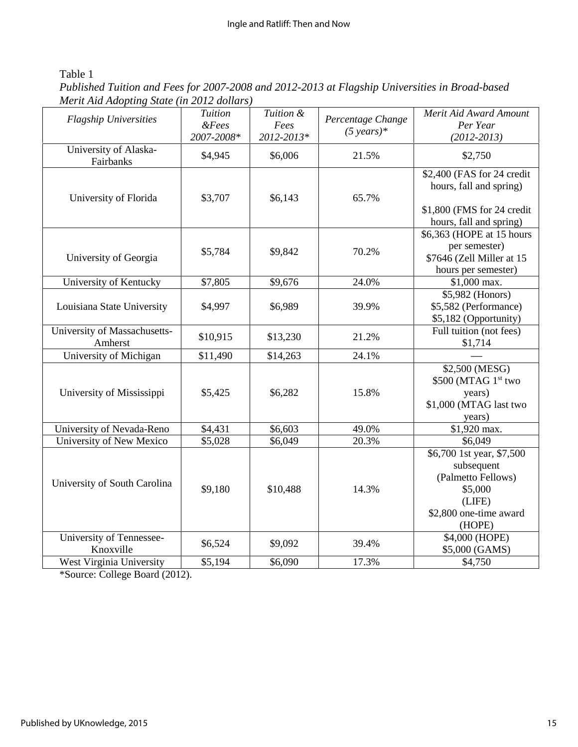### Table 1

*Published Tuition and Fees for 2007-2008 and 2012-2013 at Flagship Universities in Broad-based Merit Aid Adopting State (in 2012 dollars)* 

| <b>Flagship Universities</b>            | <b>Tuition</b><br>$&\,$ Fees<br>2007-2008* | Tuition &<br>Fees<br>2012-2013* | Percentage Change<br>$(5 \text{ years})^*$ | Merit Aid Award Amount<br>Per Year<br>$(2012 - 2013)$                                                                     |
|-----------------------------------------|--------------------------------------------|---------------------------------|--------------------------------------------|---------------------------------------------------------------------------------------------------------------------------|
| University of Alaska-<br>Fairbanks      | \$4,945                                    | \$6,006                         | 21.5%                                      | \$2,750                                                                                                                   |
| University of Florida                   | \$3,707                                    | \$6,143                         | 65.7%                                      | \$2,400 (FAS for 24 credit<br>hours, fall and spring)<br>\$1,800 (FMS for 24 credit                                       |
| University of Georgia                   | \$5,784                                    | \$9,842                         | 70.2%                                      | hours, fall and spring)<br>\$6,363 (HOPE at 15 hours<br>per semester)<br>\$7646 (Zell Miller at 15<br>hours per semester) |
| University of Kentucky                  | \$7,805                                    | \$9,676                         | 24.0%                                      | \$1,000 max.                                                                                                              |
| Louisiana State University              | \$4,997                                    | \$6,989                         | 39.9%                                      | \$5,982 (Honors)<br>\$5,582 (Performance)<br>\$5,182 (Opportunity)                                                        |
| University of Massachusetts-<br>Amherst | \$10,915                                   | \$13,230                        | 21.2%                                      | Full tuition (not fees)<br>\$1,714                                                                                        |
| University of Michigan                  | \$11,490                                   | \$14,263                        | 24.1%                                      |                                                                                                                           |
| University of Mississippi               | \$5,425                                    | \$6,282                         | 15.8%                                      | \$2,500 (MESG)<br>$$500$ (MTAG $1^{\rm st}$ two<br>years)<br>\$1,000 (MTAG last two<br>years)                             |
| University of Nevada-Reno               | \$4,431                                    | \$6,603                         | 49.0%                                      | \$1,920 max.                                                                                                              |
| University of New Mexico                | \$5,028                                    | \$6,049                         | 20.3%                                      | \$6,049                                                                                                                   |
| University of South Carolina            | \$9,180                                    | \$10,488                        | 14.3%                                      | \$6,700 1st year, \$7,500<br>subsequent<br>(Palmetto Fellows)<br>\$5,000<br>(LIFE)<br>\$2,800 one-time award<br>(HOPE)    |
| University of Tennessee-<br>Knoxville   | \$6,524                                    | \$9,092                         | 39.4%                                      | \$4,000 (HOPE)<br>\$5,000 (GAMS)                                                                                          |
| West Virginia University                | \$5,194                                    | \$6,090                         | 17.3%                                      | \$4,750                                                                                                                   |

\*Source: College Board (2012).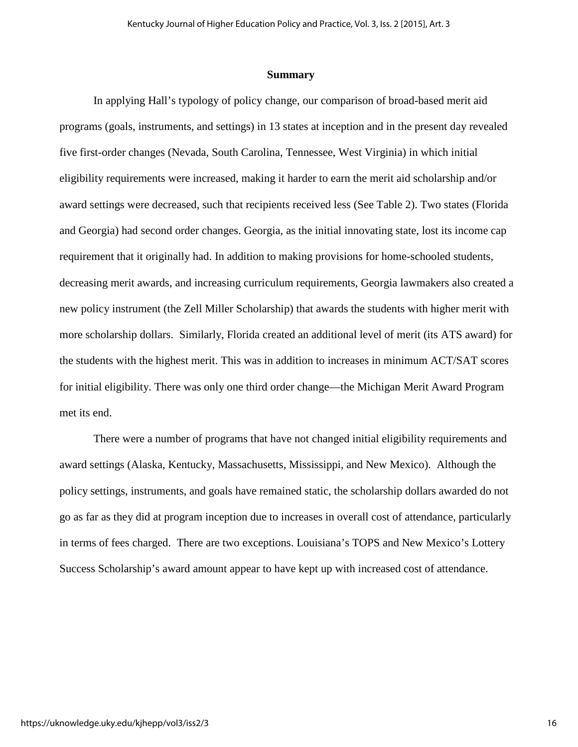#### **Summary**

In applying Hall's typology of policy change, our comparison of broad-based merit aid programs (goals, instruments, and settings) in 13 states at inception and in the present day revealed five first-order changes (Nevada, South Carolina, Tennessee, West Virginia) in which initial eligibility requirements were increased, making it harder to earn the merit aid scholarship and/or award settings were decreased, such that recipients received less (See Table 2). Two states (Florida and Georgia) had second order changes. Georgia, as the initial innovating state, lost its income cap requirement that it originally had. In addition to making provisions for home-schooled students, decreasing merit awards, and increasing curriculum requirements, Georgia lawmakers also created a new policy instrument (the Zell Miller Scholarship) that awards the students with higher merit with more scholarship dollars. Similarly, Florida created an additional level of merit (its ATS award) for the students with the highest merit. This was in addition to increases in minimum ACT/SAT scores for initial eligibility. There was only one third order change—the Michigan Merit Award Program met its end.

There were a number of programs that have not changed initial eligibility requirements and award settings (Alaska, Kentucky, Massachusetts, Mississippi, and New Mexico). Although the policy settings, instruments, and goals have remained static, the scholarship dollars awarded do not go as far as they did at program inception due to increases in overall cost of attendance, particularly in terms of fees charged. There are two exceptions. Louisiana's TOPS and New Mexico's Lottery Success Scholarship's award amount appear to have kept up with increased cost of attendance.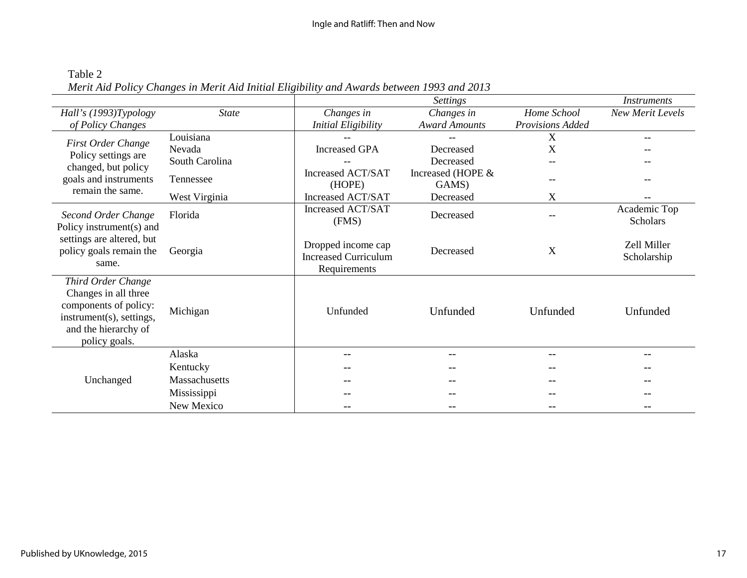| Table 2                                                                                    |  |
|--------------------------------------------------------------------------------------------|--|
| Merit Aid Policy Changes in Merit Aid Initial Eligibility and Awards between 1993 and 2013 |  |

|                                                                                                                                          |                |                                                                   | <b>Settings</b>            |                         | <b>Instruments</b>              |
|------------------------------------------------------------------------------------------------------------------------------------------|----------------|-------------------------------------------------------------------|----------------------------|-------------------------|---------------------------------|
| Hall's (1993)Typology                                                                                                                    | <b>State</b>   | Changes in                                                        | Changes in                 | Home School             | New Merit Levels                |
| of Policy Changes                                                                                                                        |                | <b>Initial Eligibility</b>                                        | <b>Award Amounts</b>       | <b>Provisions Added</b> |                                 |
| <b>First Order Change</b>                                                                                                                | Louisiana      |                                                                   |                            | X                       | $-$                             |
| Policy settings are                                                                                                                      | Nevada         | <b>Increased GPA</b>                                              | Decreased                  | X                       |                                 |
| changed, but policy                                                                                                                      | South Carolina |                                                                   | Decreased                  |                         |                                 |
| goals and instruments                                                                                                                    | Tennessee      | Increased ACT/SAT<br>(HOPE)                                       | Increased (HOPE &<br>GAMS) |                         |                                 |
| remain the same.                                                                                                                         | West Virginia  | Increased ACT/SAT                                                 | Decreased                  | X                       |                                 |
| Second Order Change<br>Policy instrument(s) and                                                                                          | Florida        | Increased ACT/SAT<br>(FMS)                                        | Decreased                  |                         | Academic Top<br><b>Scholars</b> |
| settings are altered, but<br>policy goals remain the<br>same.                                                                            | Georgia        | Dropped income cap<br><b>Increased Curriculum</b><br>Requirements | Decreased                  | X                       | Zell Miller<br>Scholarship      |
| Third Order Change<br>Changes in all three<br>components of policy:<br>instrument(s), settings,<br>and the hierarchy of<br>policy goals. | Michigan       | Unfunded                                                          | Unfunded                   | Unfunded                | Unfunded                        |
|                                                                                                                                          | Alaska         |                                                                   |                            |                         |                                 |
|                                                                                                                                          | Kentucky       |                                                                   |                            |                         |                                 |
| Unchanged                                                                                                                                | Massachusetts  |                                                                   |                            |                         |                                 |
|                                                                                                                                          | Mississippi    |                                                                   |                            |                         |                                 |
|                                                                                                                                          | New Mexico     |                                                                   |                            |                         |                                 |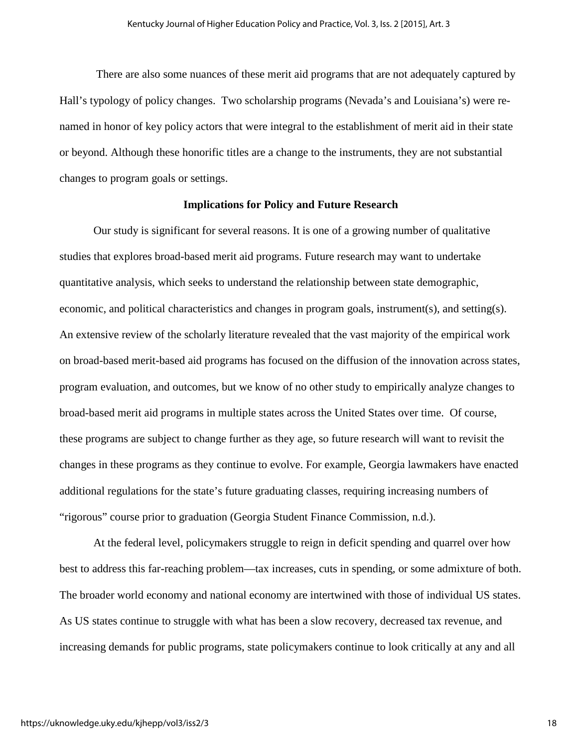There are also some nuances of these merit aid programs that are not adequately captured by Hall's typology of policy changes. Two scholarship programs (Nevada's and Louisiana's) were renamed in honor of key policy actors that were integral to the establishment of merit aid in their state or beyond. Although these honorific titles are a change to the instruments, they are not substantial changes to program goals or settings.

#### **Implications for Policy and Future Research**

Our study is significant for several reasons. It is one of a growing number of qualitative studies that explores broad-based merit aid programs. Future research may want to undertake quantitative analysis, which seeks to understand the relationship between state demographic, economic, and political characteristics and changes in program goals, instrument(s), and setting(s). An extensive review of the scholarly literature revealed that the vast majority of the empirical work on broad-based merit-based aid programs has focused on the diffusion of the innovation across states, program evaluation, and outcomes, but we know of no other study to empirically analyze changes to broad-based merit aid programs in multiple states across the United States over time. Of course, these programs are subject to change further as they age, so future research will want to revisit the changes in these programs as they continue to evolve. For example, Georgia lawmakers have enacted additional regulations for the state's future graduating classes, requiring increasing numbers of "rigorous" course prior to graduation (Georgia Student Finance Commission, n.d.).

At the federal level, policymakers struggle to reign in deficit spending and quarrel over how best to address this far-reaching problem—tax increases, cuts in spending, or some admixture of both. The broader world economy and national economy are intertwined with those of individual US states. As US states continue to struggle with what has been a slow recovery, decreased tax revenue, and increasing demands for public programs, state policymakers continue to look critically at any and all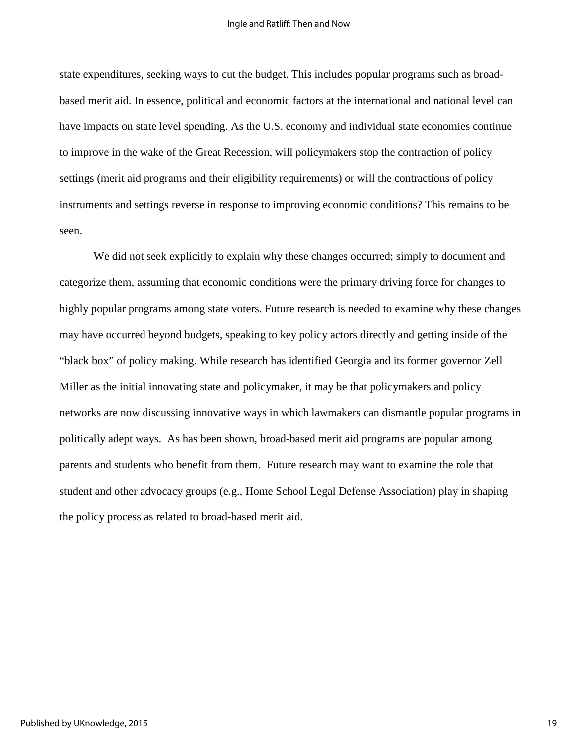state expenditures, seeking ways to cut the budget. This includes popular programs such as broadbased merit aid. In essence, political and economic factors at the international and national level can have impacts on state level spending. As the U.S. economy and individual state economies continue to improve in the wake of the Great Recession, will policymakers stop the contraction of policy settings (merit aid programs and their eligibility requirements) or will the contractions of policy instruments and settings reverse in response to improving economic conditions? This remains to be seen.

We did not seek explicitly to explain why these changes occurred; simply to document and categorize them, assuming that economic conditions were the primary driving force for changes to highly popular programs among state voters. Future research is needed to examine why these changes may have occurred beyond budgets, speaking to key policy actors directly and getting inside of the "black box" of policy making. While research has identified Georgia and its former governor Zell Miller as the initial innovating state and policymaker, it may be that policymakers and policy networks are now discussing innovative ways in which lawmakers can dismantle popular programs in politically adept ways. As has been shown, broad-based merit aid programs are popular among parents and students who benefit from them. Future research may want to examine the role that student and other advocacy groups (e.g., Home School Legal Defense Association) play in shaping the policy process as related to broad-based merit aid.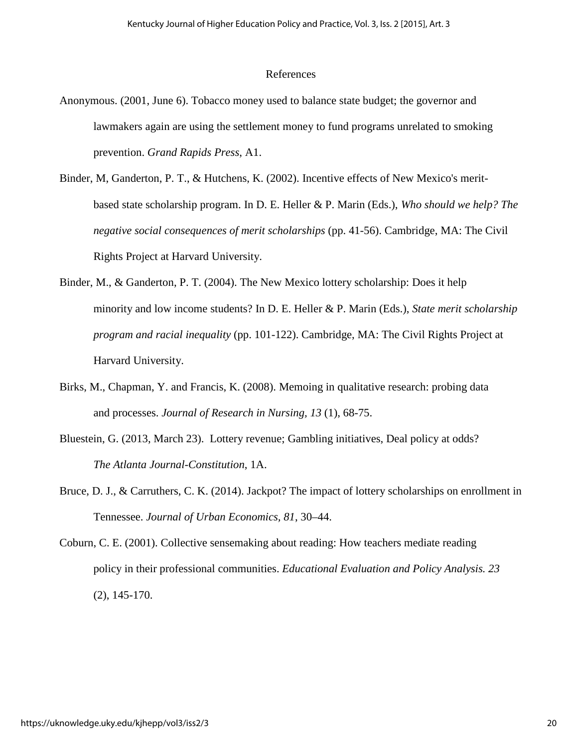#### References

- Anonymous. (2001, June 6). Tobacco money used to balance state budget; the governor and lawmakers again are using the settlement money to fund programs unrelated to smoking prevention. *Grand Rapids Press*, A1.
- Binder, M, Ganderton, P. T., & Hutchens, K. (2002). Incentive effects of New Mexico's meritbased state scholarship program. In D. E. Heller & P. Marin (Eds.), *Who should we help? The negative social consequences of merit scholarships* (pp. 41-56). Cambridge, MA: The Civil Rights Project at Harvard University.
- Binder, M., & Ganderton, P. T. (2004). The New Mexico lottery scholarship: Does it help minority and low income students? In D. E. Heller & P. Marin (Eds.), *State merit scholarship program and racial inequality* (pp. 101-122). Cambridge, MA: The Civil Rights Project at Harvard University.
- Birks, M., Chapman, Y. and Francis, K. (2008). Memoing in qualitative research: probing data and processes. *Journal of Research in Nursing, 13* (1), 68-75.
- Bluestein, G. (2013, March 23). Lottery revenue; Gambling initiatives, Deal policy at odds? *The Atlanta Journal-Constitution*, 1A.
- Bruce, D. J., & Carruthers, C. K. (2014). Jackpot? The impact of lottery scholarships on enrollment in Tennessee. *Journal of Urban Economics, 81*, 30–44.

Coburn, C. E. (2001). Collective sensemaking about reading: How teachers mediate reading policy in their professional communities. *Educational Evaluation and Policy Analysis. 23* (2), 145-170.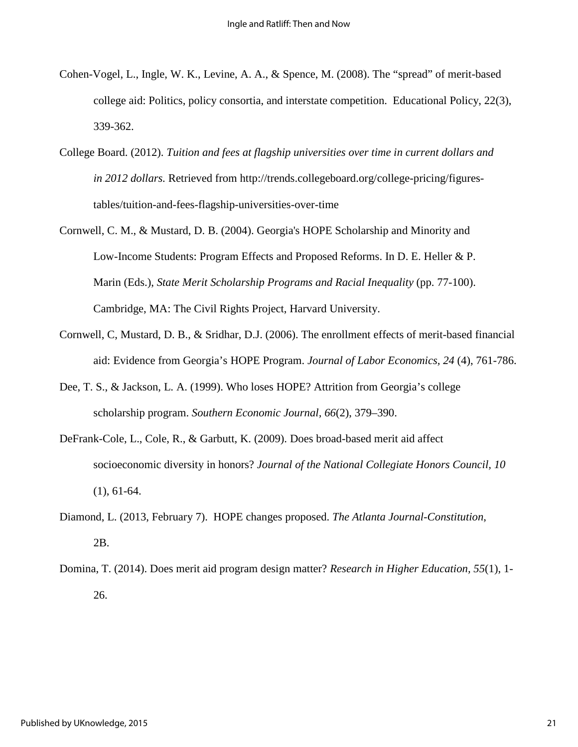- Cohen-Vogel, L., Ingle, W. K., Levine, A. A., & Spence, M. (2008). The "spread" of merit-based college aid: Politics, policy consortia, and interstate competition. Educational Policy, 22(3), 339-362.
- College Board. (2012). *Tuition and fees at flagship universities over time in current dollars and in 2012 dollars.* Retrieved from http://trends.collegeboard.org/college-pricing/figurestables/tuition-and-fees-flagship-universities-over-time
- Cornwell, C. M., & Mustard, D. B. (2004). Georgia's HOPE Scholarship and Minority and Low-Income Students: Program Effects and Proposed Reforms. In D. E. Heller & P. Marin (Eds.), *State Merit Scholarship Programs and Racial Inequality* (pp. 77-100). Cambridge, MA: The Civil Rights Project, Harvard University.
- Cornwell, C, Mustard, D. B., & Sridhar, D.J. (2006). The enrollment effects of merit-based financial aid: Evidence from Georgia's HOPE Program. *Journal of Labor Economics, 24* (4), 761-786.
- Dee, T. S., & Jackson, L. A. (1999). Who loses HOPE? Attrition from Georgia's college scholarship program. *Southern Economic Journal, 66*(2), 379–390.
- DeFrank-Cole, L., Cole, R., & Garbutt, K. (2009). Does broad-based merit aid affect socioeconomic diversity in honors? *Journal of the National Collegiate Honors Council, 10* (1), 61-64.
- Diamond, L. (2013, February 7). HOPE changes proposed. *The Atlanta Journal-Constitution*, 2B.
- Domina, T. (2014). Does merit aid program design matter? *Research in Higher Education, 55*(1), 1- 26.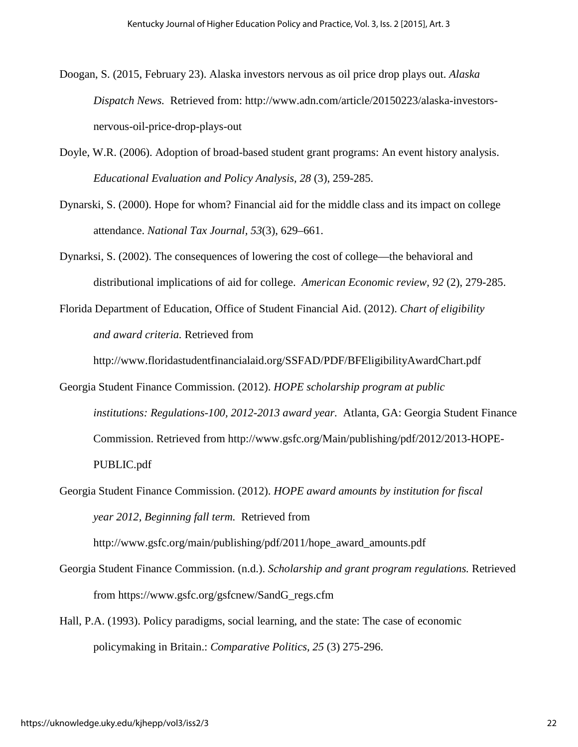- Doogan, S. (2015, February 23). Alaska investors nervous as oil price drop plays out. *Alaska Dispatch News.* Retrieved from: http://www.adn.com/article/20150223/alaska-investorsnervous-oil-price-drop-plays-out
- Doyle, W.R. (2006). Adoption of broad-based student grant programs: An event history analysis. *Educational Evaluation and Policy Analysis, 28* (3), 259-285.
- Dynarski, S. (2000). Hope for whom? Financial aid for the middle class and its impact on college attendance. *National Tax Journal, 53*(3), 629–661.
- Dynarksi, S. (2002). The consequences of lowering the cost of college—the behavioral and distributional implications of aid for college. *American Economic review, 92* (2), 279-285.
- Florida Department of Education, Office of Student Financial Aid. (2012). *Chart of eligibility and award criteria.* Retrieved from

http://www.floridastudentfinancialaid.org/SSFAD/PDF/BFEligibilityAwardChart.pdf

- Georgia Student Finance Commission. (2012). *HOPE scholarship program at public institutions: Regulations-100, 2012-2013 award year.* Atlanta, GA: Georgia Student Finance Commission. Retrieved from http://www.gsfc.org/Main/publishing/pdf/2012/2013-HOPE-PUBLIC.pdf
- Georgia Student Finance Commission. (2012). *HOPE award amounts by institution for fiscal year 2012, Beginning fall term.* Retrieved from http://www.gsfc.org/main/publishing/pdf/2011/hope\_award\_amounts.pdf
- Georgia Student Finance Commission. (n.d.). *Scholarship and grant program regulations.* Retrieved from https://www.gsfc.org/gsfcnew/SandG\_regs.cfm
- Hall, P.A. (1993). Policy paradigms, social learning, and the state: The case of economic policymaking in Britain.: *Comparative Politics, 25* (3) 275-296.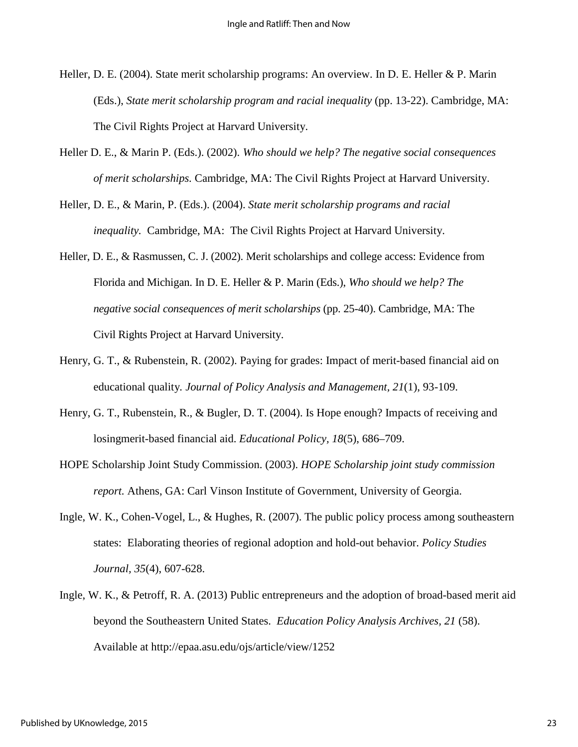- Heller, D. E. (2004). State merit scholarship programs: An overview. In D. E. Heller & P. Marin (Eds.), *State merit scholarship program and racial inequality* (pp. 13-22). Cambridge, MA: The Civil Rights Project at Harvard University.
- Heller D. E., & Marin P. (Eds.). (2002). *Who should we help? The negative social consequences of merit scholarships.* Cambridge, MA: The Civil Rights Project at Harvard University.
- Heller, D. E., & Marin, P. (Eds.). (2004). *State merit scholarship programs and racial inequality.* Cambridge, MA: The Civil Rights Project at Harvard University.
- Heller, D. E., & Rasmussen, C. J. (2002). Merit scholarships and college access: Evidence from Florida and Michigan. In D. E. Heller & P. Marin (Eds.), *Who should we help? The negative social consequences of merit scholarships* (pp. 25-40). Cambridge, MA: The Civil Rights Project at Harvard University.
- Henry, G. T., & Rubenstein, R. (2002). Paying for grades: Impact of merit-based financial aid on educational quality*. Journal of Policy Analysis and Management, 21*(1), 93-109.
- Henry, G. T., Rubenstein, R., & Bugler, D. T. (2004). Is Hope enough? Impacts of receiving and losingmerit-based financial aid. *Educational Policy, 18*(5), 686–709.
- HOPE Scholarship Joint Study Commission. (2003). *HOPE Scholarship joint study commission report.* Athens, GA: Carl Vinson Institute of Government, University of Georgia.
- Ingle, W. K., Cohen-Vogel, L., & Hughes, R. (2007). The public policy process among southeastern states: Elaborating theories of regional adoption and hold-out behavior. *Policy Studies Journal, 35*(4), 607-628.
- Ingle, W. K., & Petroff, R. A. (2013) Public entrepreneurs and the adoption of broad-based merit aid beyond the Southeastern United States. *Education Policy Analysis Archives, 21* (58). Available at http://epaa.asu.edu/ojs/article/view/1252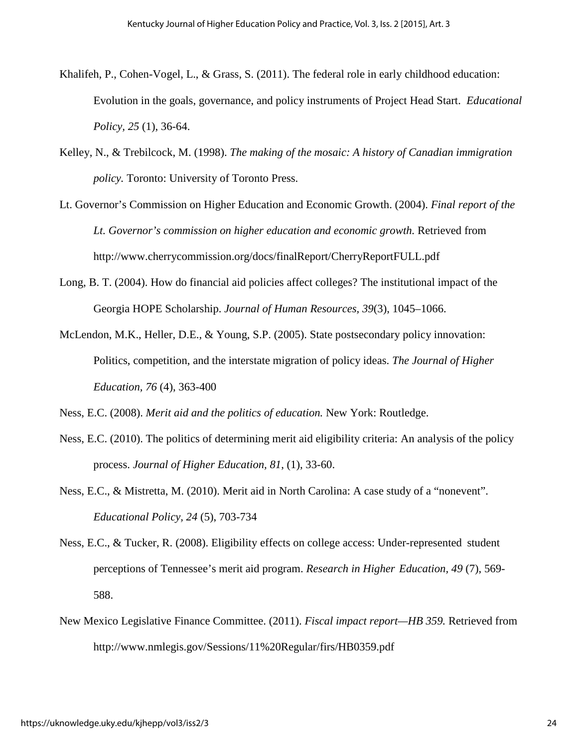- Khalifeh, P., Cohen-Vogel, L., & Grass, S. (2011). The federal role in early childhood education: Evolution in the goals, governance, and policy instruments of Project Head Start. *Educational Policy, 25* (1), 36-64.
- Kelley, N., & Trebilcock, M. (1998). *The making of the mosaic: A history of Canadian immigration policy.* Toronto: University of Toronto Press.
- Lt. Governor's Commission on Higher Education and Economic Growth. (2004). *Final report of the Lt. Governor's commission on higher education and economic growth.* Retrieved from http://www.cherrycommission.org/docs/finalReport/CherryReportFULL.pdf
- Long, B. T. (2004). How do financial aid policies affect colleges? The institutional impact of the Georgia HOPE Scholarship. *Journal of Human Resources, 39*(3), 1045–1066.
- McLendon, M.K., Heller, D.E., & Young, S.P. (2005). State postsecondary policy innovation: Politics, competition, and the interstate migration of policy ideas. *The Journal of Higher Education, 76* (4), 363-400

Ness, E.C. (2008). *Merit aid and the politics of education.* New York: Routledge.

- Ness, E.C. (2010). The politics of determining merit aid eligibility criteria: An analysis of the policy process. *Journal of Higher Education, 81*, (1), 33-60.
- Ness, E.C., & Mistretta, M. (2010). Merit aid in North Carolina: A case study of a "nonevent". *Educational Policy, 24* (5), 703-734
- Ness, E.C., & Tucker, R. (2008). Eligibility effects on college access: Under-represented student perceptions of Tennessee's merit aid program. *Research in Higher Education, 49* (7), 569- 588.
- New Mexico Legislative Finance Committee. (2011). *Fiscal impact report—HB 359.* Retrieved from http://www.nmlegis.gov/Sessions/11%20Regular/firs/HB0359.pdf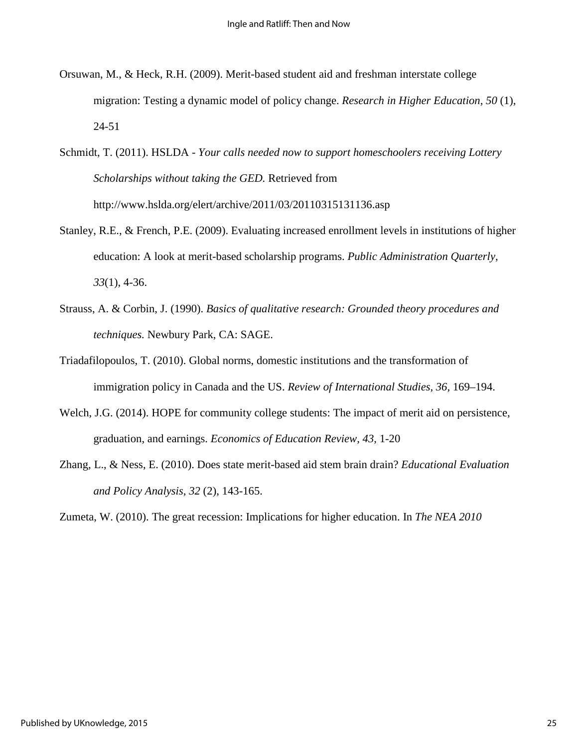- Orsuwan, M., & Heck, R.H. (2009). Merit-based student aid and freshman interstate college migration: Testing a dynamic model of policy change. *Research in Higher Education, 50* (1), 24-51
- Schmidt, T. (2011). HSLDA *Your calls needed now to support homeschoolers receiving Lottery Scholarships without taking the GED.* Retrieved from http://www.hslda.org/elert/archive/2011/03/20110315131136.asp
- Stanley, R.E., & French, P.E. (2009). Evaluating increased enrollment levels in institutions of higher education: A look at merit-based scholarship programs. *Public Administration Quarterly, 33*(1), 4-36.
- Strauss, A. & Corbin, J. (1990). *Basics of qualitative research: Grounded theory procedures and techniques.* Newbury Park, CA: SAGE.
- Triadafilopoulos, T. (2010). Global norms, domestic institutions and the transformation of immigration policy in Canada and the US. *Review of International Studies, 36,* 169–194.
- Welch, J.G. (2014). HOPE for community college students: The impact of merit aid on persistence, graduation, and earnings. *Economics of Education Review, 43*, 1-20
- Zhang, L., & Ness, E. (2010). Does state merit-based aid stem brain drain? *Educational Evaluation and Policy Analysis, 32* (2), 143-165.

Zumeta, W. (2010). The great recession: Implications for higher education. In *The NEA 2010*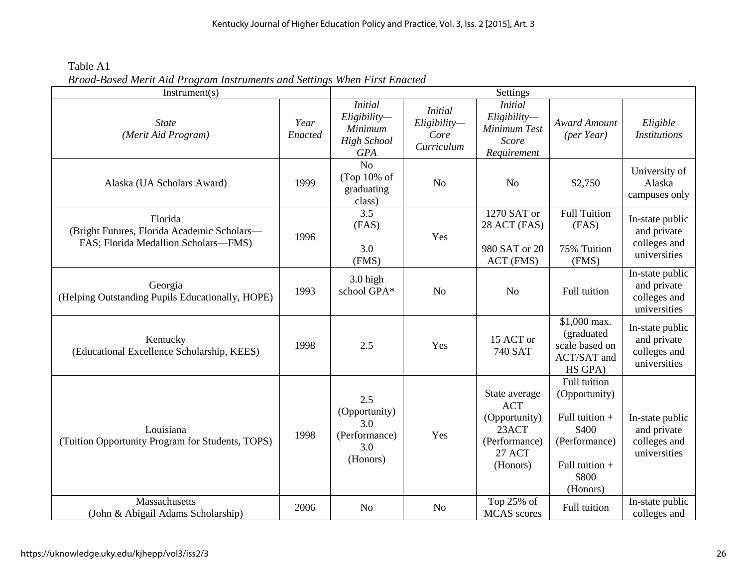Kentucky Journal of Higher Education Policy and Practice, Vol. 3, Iss. 2 [2015], Art. 3

Table A1 *Broad-Based Merit Aid Program Instruments and Settings When First Enacted* 

| Instrument(s)                                                                                  |                 |                                                                               |                                                      | Settings                                                                                            |                                                                                                                  |                                                                |
|------------------------------------------------------------------------------------------------|-----------------|-------------------------------------------------------------------------------|------------------------------------------------------|-----------------------------------------------------------------------------------------------------|------------------------------------------------------------------------------------------------------------------|----------------------------------------------------------------|
| <b>State</b><br>(Merit Aid Program)                                                            | Year<br>Enacted | <b>Initial</b><br>Eligibility-<br>Minimum<br><b>High School</b><br><b>GPA</b> | <i>Initial</i><br>Eligibility-<br>Core<br>Curriculum | <b>Initial</b><br>Eligibility-<br>Minimum Test<br>Score<br>Requirement                              | <b>Award Amount</b><br>(per Year)                                                                                | Eligible<br><b>Institutions</b>                                |
| Alaska (UA Scholars Award)                                                                     | 1999            | N <sub>o</sub><br>(Top $10\%$ of<br>graduating<br>class)                      | N <sub>o</sub>                                       | N <sub>o</sub>                                                                                      | \$2,750                                                                                                          | University of<br>Alaska<br>campuses only                       |
| Florida<br>(Bright Futures, Florida Academic Scholars-<br>FAS; Florida Medallion Scholars-FMS) | 1996            | 3.5<br>(FAS)<br>3.0<br>(FMS)                                                  | Yes                                                  | 1270 SAT or<br>28 ACT (FAS)<br>980 SAT or 20<br>ACT (FMS)                                           | <b>Full Tuition</b><br>(FAS)<br>75% Tuition<br>(FMS)                                                             | In-state public<br>and private<br>colleges and<br>universities |
| Georgia<br>(Helping Outstanding Pupils Educationally, HOPE)                                    | 1993            | 3.0 high<br>school GPA*                                                       | N <sub>o</sub>                                       | N <sub>o</sub>                                                                                      | Full tuition                                                                                                     | In-state public<br>and private<br>colleges and<br>universities |
| Kentucky<br>(Educational Excellence Scholarship, KEES)                                         | 1998            | 2.5                                                                           | Yes                                                  | 15 ACT or<br>740 SAT                                                                                | \$1,000 max.<br>(graduated<br>scale based on<br>ACT/SAT and<br>HS GPA)                                           | In-state public<br>and private<br>colleges and<br>universities |
| Louisiana<br>(Tuition Opportunity Program for Students, TOPS)                                  | 1998            | 2.5<br>(Opportunity)<br>3.0<br>(Performance)<br>3.0<br>(Honors)               | Yes                                                  | State average<br><b>ACT</b><br>(Opportunity)<br>23ACT<br>(Performance)<br><b>27 ACT</b><br>(Honors) | Full tuition<br>(Opportunity)<br>Full tuition +<br>\$400<br>(Performance)<br>Full tuition +<br>\$800<br>(Honors) | In-state public<br>and private<br>colleges and<br>universities |
| Massachusetts<br>(John & Abigail Adams Scholarship)                                            | 2006            | N <sub>o</sub>                                                                | N <sub>o</sub>                                       | Top 25% of<br><b>MCAS</b> scores                                                                    | Full tuition                                                                                                     | In-state public<br>colleges and                                |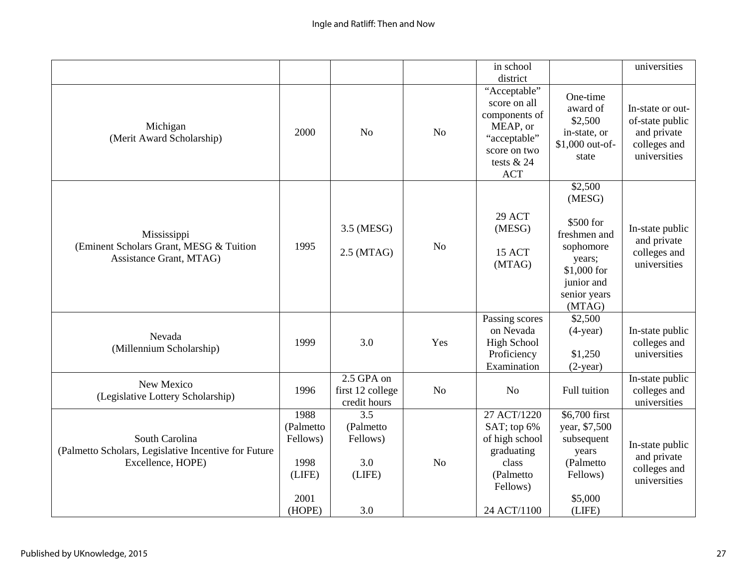|                                                                                             |                                                         |                                                |                | in school<br>district                                                                                                   |                                                                                                                              | universities                                                                       |
|---------------------------------------------------------------------------------------------|---------------------------------------------------------|------------------------------------------------|----------------|-------------------------------------------------------------------------------------------------------------------------|------------------------------------------------------------------------------------------------------------------------------|------------------------------------------------------------------------------------|
| Michigan<br>(Merit Award Scholarship)                                                       | 2000                                                    | N <sub>o</sub>                                 | N <sub>o</sub> | "Acceptable"<br>score on all<br>components of<br>MEAP, or<br>"acceptable"<br>score on two<br>tests $& 24$<br><b>ACT</b> | One-time<br>award of<br>\$2,500<br>in-state, or<br>\$1,000 out-of-<br>state                                                  | In-state or out-<br>of-state public<br>and private<br>colleges and<br>universities |
| Mississippi<br>(Eminent Scholars Grant, MESG & Tuition<br>Assistance Grant, MTAG)           | 1995                                                    | 3.5 (MESG)<br>$2.5$ (MTAG)                     | N <sub>o</sub> | 29 ACT<br>(MESG)<br>15 ACT<br>(MTAG)                                                                                    | \$2,500<br>(MESG)<br>\$500 for<br>freshmen and<br>sophomore<br>years;<br>\$1,000 for<br>junior and<br>senior years<br>(MTAG) | In-state public<br>and private<br>colleges and<br>universities                     |
| Nevada<br>(Millennium Scholarship)                                                          | 1999                                                    | 3.0                                            | Yes            | Passing scores<br>on Nevada<br><b>High School</b><br>Proficiency<br>Examination                                         | \$2,500<br>$(4-year)$<br>\$1,250<br>$(2-year)$                                                                               | In-state public<br>colleges and<br>universities                                    |
| New Mexico<br>(Legislative Lottery Scholarship)                                             | 1996                                                    | 2.5 GPA on<br>first 12 college<br>credit hours | <b>No</b>      | No                                                                                                                      | Full tuition                                                                                                                 | In-state public<br>colleges and<br>universities                                    |
| South Carolina<br>(Palmetto Scholars, Legislative Incentive for Future<br>Excellence, HOPE) | 1988<br>(Palmetto<br>Fellows)<br>1998<br>(LIFE)<br>2001 | 3.5<br>(Palmetto<br>Fellows)<br>3.0<br>(LIFE)  | N <sub>o</sub> | 27 ACT/1220<br>SAT; top 6%<br>of high school<br>graduating<br>class<br>(Palmetto<br>Fellows)                            | \$6,700 first<br>year, \$7,500<br>subsequent<br>years<br>(Palmetto<br>Fellows)<br>\$5,000                                    | In-state public<br>and private<br>colleges and<br>universities                     |
|                                                                                             | (HOPE)                                                  | 3.0                                            |                | 24 ACT/1100                                                                                                             | (LIFE)                                                                                                                       |                                                                                    |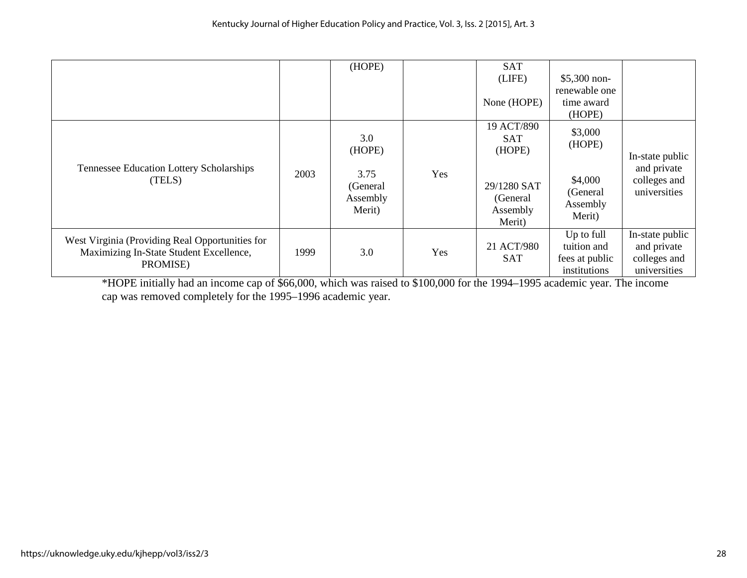|                                                                                                        |      | (HOPE)                                                  |     | <b>SAT</b><br>(LIFE)<br>None (HOPE)                                                 | $$5,300$ non-<br>renewable one<br>time award<br>(HOPE)         |                                                                |
|--------------------------------------------------------------------------------------------------------|------|---------------------------------------------------------|-----|-------------------------------------------------------------------------------------|----------------------------------------------------------------|----------------------------------------------------------------|
| Tennessee Education Lottery Scholarships<br>(TELS)                                                     | 2003 | 3.0<br>(HOPE)<br>3.75<br>(General<br>Assembly<br>Merit) | Yes | 19 ACT/890<br><b>SAT</b><br>(HOPE)<br>29/1280 SAT<br>(General<br>Assembly<br>Merit) | \$3,000<br>(HOPE)<br>\$4,000<br>(General<br>Assembly<br>Merit) | In-state public<br>and private<br>colleges and<br>universities |
| West Virginia (Providing Real Opportunities for<br>Maximizing In-State Student Excellence,<br>PROMISE) | 1999 | 3.0                                                     | Yes | 21 ACT/980<br><b>SAT</b>                                                            | Up to full<br>tuition and<br>fees at public<br>institutions    | In-state public<br>and private<br>colleges and<br>universities |

\*HOPE initially had an income cap of \$66,000, which was raised to \$100,000 for the 1994–1995 academic year. The income cap was removed completely for the 1995–1996 academic year.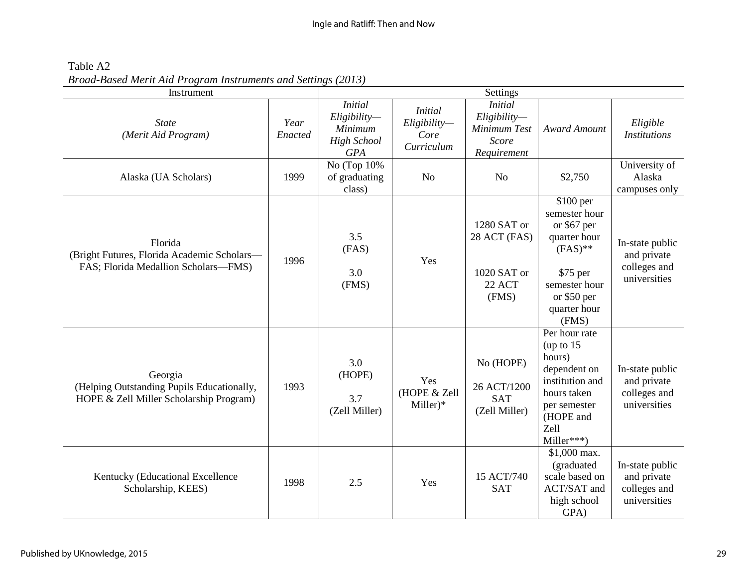Table A2 *Broad-Based Merit Aid Program Instruments and Settings (2013)* 

| Instrument                                                                                       | Settings        |                                                                              |                                                      |                                                                       |                                                                                                                                              |                                                                |
|--------------------------------------------------------------------------------------------------|-----------------|------------------------------------------------------------------------------|------------------------------------------------------|-----------------------------------------------------------------------|----------------------------------------------------------------------------------------------------------------------------------------------|----------------------------------------------------------------|
| <b>State</b><br>(Merit Aid Program)                                                              | Year<br>Enacted | <i>Initial</i><br>Eligibility<br>Minimum<br><b>High School</b><br><b>GPA</b> | <b>Initial</b><br>Eligibility-<br>Core<br>Curriculum | <i>Initial</i><br>Eligibility<br>Minimum Test<br>Score<br>Requirement | <b>Award Amount</b>                                                                                                                          | Eligible<br><b>Institutions</b>                                |
| Alaska (UA Scholars)                                                                             | 1999            | No (Top $10\%$<br>of graduating<br>class)                                    | No                                                   | N <sub>o</sub>                                                        | \$2,750                                                                                                                                      | University of<br>Alaska<br>campuses only                       |
| Florida<br>(Bright Futures, Florida Academic Scholars-<br>FAS; Florida Medallion Scholars-FMS)   | 1996            | 3.5<br>(FAS)<br>3.0<br>(FMS)                                                 | Yes                                                  | 1280 SAT or<br>28 ACT (FAS)<br>1020 SAT or<br><b>22 ACT</b><br>(FMS)  | \$100 per<br>semester hour<br>or \$67 per<br>quarter hour<br>$(FAS)**$<br>\$75 per<br>semester hour<br>or $$50$ per<br>quarter hour<br>(FMS) | In-state public<br>and private<br>colleges and<br>universities |
| Georgia<br>(Helping Outstanding Pupils Educationally,<br>HOPE & Zell Miller Scholarship Program) | 1993            | 3.0<br>(HOPE)<br>3.7<br>(Zell Miller)                                        | Yes<br>(HOPE & Zell<br>$Miller)*$                    | No (HOPE)<br>26 ACT/1200<br><b>SAT</b><br>(Zell Miller)               | Per hour rate<br>(up to $15$<br>hours)<br>dependent on<br>institution and<br>hours taken<br>per semester<br>(HOPE and<br>Zell<br>Miller***)  | In-state public<br>and private<br>colleges and<br>universities |
| Kentucky (Educational Excellence<br>Scholarship, KEES)                                           | 1998            | 2.5                                                                          | Yes                                                  | 15 ACT/740<br><b>SAT</b>                                              | \$1,000 max.<br>(graduated<br>scale based on<br>ACT/SAT and<br>high school<br>GPA)                                                           | In-state public<br>and private<br>colleges and<br>universities |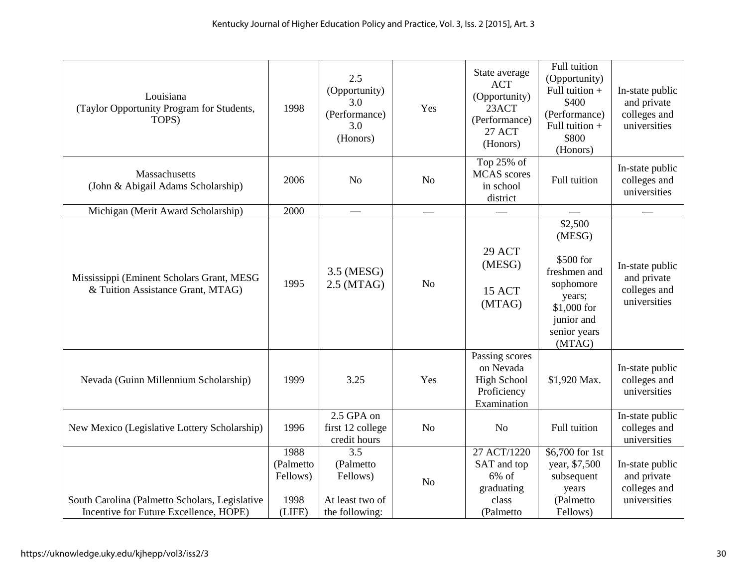| Louisiana<br>(Taylor Opportunity Program for Students,<br>TOPS)                          | 1998                                            | 2.5<br>(Opportunity)<br>3.0<br>(Performance)<br>3.0<br>(Honors)                | Yes | State average<br><b>ACT</b><br>(Opportunity)<br>23ACT<br>(Performance)<br><b>27 ACT</b><br>(Honors) | Full tuition<br>(Opportunity)<br>Full tuition +<br>\$400<br>(Performance)<br>Full tuition +<br>\$800<br>(Honors)             | In-state public<br>and private<br>colleges and<br>universities |
|------------------------------------------------------------------------------------------|-------------------------------------------------|--------------------------------------------------------------------------------|-----|-----------------------------------------------------------------------------------------------------|------------------------------------------------------------------------------------------------------------------------------|----------------------------------------------------------------|
| Massachusetts<br>(John & Abigail Adams Scholarship)                                      | 2006                                            | N <sub>o</sub>                                                                 | No  | Top 25% of<br><b>MCAS</b> scores<br>in school<br>district                                           | Full tuition                                                                                                                 | In-state public<br>colleges and<br>universities                |
| Michigan (Merit Award Scholarship)                                                       | 2000                                            | $\qquad \qquad$                                                                |     |                                                                                                     |                                                                                                                              |                                                                |
| Mississippi (Eminent Scholars Grant, MESG<br>& Tuition Assistance Grant, MTAG)           | 1995                                            | 3.5 (MESG)<br>$2.5$ (MTAG)                                                     | No  | 29 ACT<br>(MESG)<br>15 ACT<br>(MTAG)                                                                | \$2,500<br>(MESG)<br>\$500 for<br>freshmen and<br>sophomore<br>years;<br>\$1,000 for<br>junior and<br>senior years<br>(MTAG) | In-state public<br>and private<br>colleges and<br>universities |
| Nevada (Guinn Millennium Scholarship)                                                    | 1999                                            | 3.25                                                                           | Yes | Passing scores<br>on Nevada<br><b>High School</b><br>Proficiency<br>Examination                     | \$1,920 Max.                                                                                                                 | In-state public<br>colleges and<br>universities                |
| New Mexico (Legislative Lottery Scholarship)                                             | 1996                                            | $2.5$ GPA on<br>first 12 college<br>credit hours                               | No  | N <sub>o</sub>                                                                                      | Full tuition                                                                                                                 | In-state public<br>colleges and<br>universities                |
| South Carolina (Palmetto Scholars, Legislative<br>Incentive for Future Excellence, HOPE) | 1988<br>(Palmetto<br>Fellows)<br>1998<br>(LIFE) | $\overline{3.5}$<br>(Palmetto<br>Fellows)<br>At least two of<br>the following: | No  | 27 ACT/1220<br>SAT and top<br>$6\%$ of<br>graduating<br>class<br>(Palmetto                          | $$6,700$ for 1st<br>year, \$7,500<br>subsequent<br>years<br>(Palmetto)<br>Fellows)                                           | In-state public<br>and private<br>colleges and<br>universities |